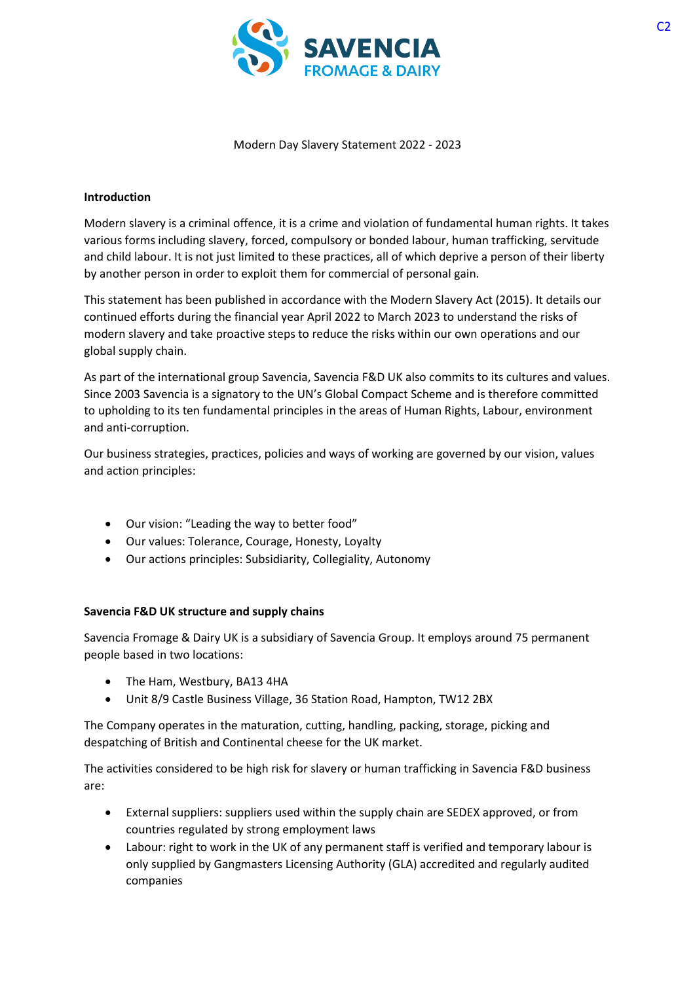

#### Modern Day Slavery Statement 2022 - 2023

## **Introduction**

Modern slavery is a criminal offence, it is a crime and violation of fundamental human rights. It takes various forms including slavery, forced, compulsory or bonded labour, human trafficking, servitude and child labour. It is not just limited to these practices, all of which deprive a person of their liberty by another person in order to exploit them for commercial of personal gain.

This statement has been published in accordance with the Modern Slavery Act (2015). It details our continued efforts during the financial year April 2022 to March 2023 to understand the risks of modern slavery and take proactive steps to reduce the risks within our own operations and our global supply chain.

As part of the international group Savencia, Savencia F&D UK also commits to its cultures and values. Since 2003 Savencia is a signatory to the UN's Global Compact Scheme and is therefore committed to upholding to its ten fundamental principles in the areas of Human Rights, Labour, environment and anti-corruption.

Our business strategies, practices, policies and ways of working are governed by our vision, values and action principles:

- Our vision: "Leading the way to better food"
- Our values: Tolerance, Courage, Honesty, Loyalty
- Our actions principles: Subsidiarity, Collegiality, Autonomy

# **Savencia F&D UK structure and supply chains**

Savencia Fromage & Dairy UK is a subsidiary of Savencia Group. It employs around 75 permanent people based in two locations:

- The Ham, Westbury, BA13 4HA
- Unit 8/9 Castle Business Village, 36 Station Road, Hampton, TW12 2BX

The Company operates in the maturation, cutting, handling, packing, storage, picking and despatching of British and Continental cheese for the UK market.

The activities considered to be high risk for slavery or human trafficking in Savencia F&D business are:

- External suppliers: suppliers used within the supply chain are SEDEX approved, or from countries regulated by strong employment laws
- Labour: right to work in the UK of any permanent staff is verified and temporary labour is only supplied by Gangmasters Licensing Authority (GLA) accredited and regularly audited companies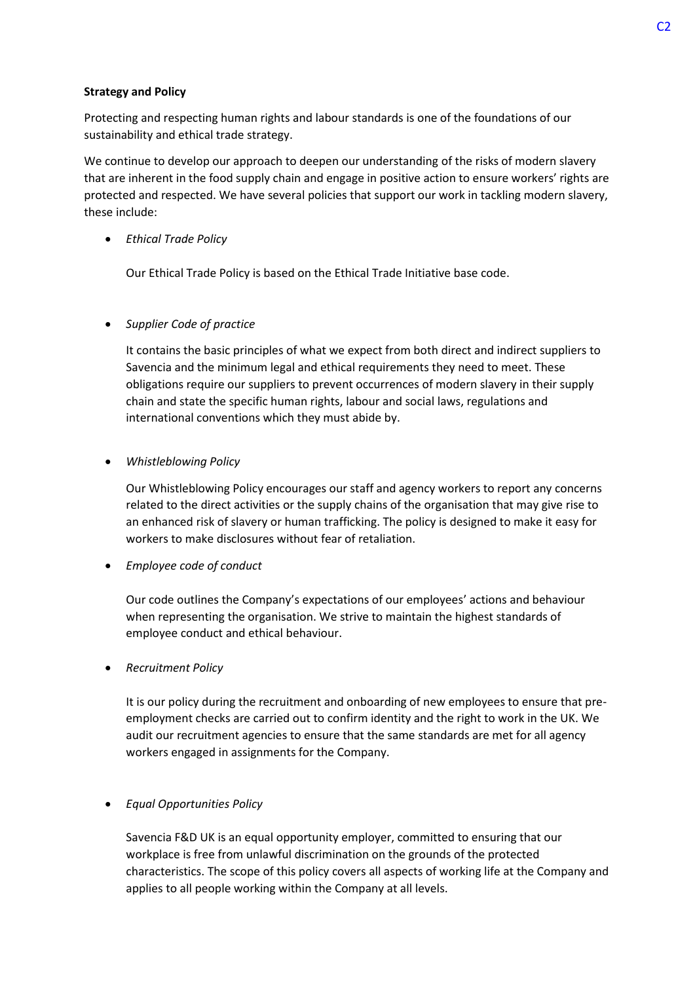## **Strategy and Policy**

Protecting and respecting human rights and labour standards is one of the foundations of our sustainability and ethical trade strategy.

We continue to develop our approach to deepen our understanding of the risks of modern slavery that are inherent in the food supply chain and engage in positive action to ensure workers' rights are protected and respected. We have several policies that support our work in tackling modern slavery, these include:

# • *Ethical Trade Policy*

Our Ethical Trade Policy is based on the Ethical Trade Initiative base code.

## • *Supplier Code of practice*

It contains the basic principles of what we expect from both direct and indirect suppliers to Savencia and the minimum legal and ethical requirements they need to meet. These obligations require our suppliers to prevent occurrences of modern slavery in their supply chain and state the specific human rights, labour and social laws, regulations and international conventions which they must abide by.

## • *Whistleblowing Policy*

Our Whistleblowing Policy encourages our staff and agency workers to report any concerns related to the direct activities or the supply chains of the organisation that may give rise to an enhanced risk of slavery or human trafficking. The policy is designed to make it easy for workers to make disclosures without fear of retaliation.

#### • *Employee code of conduct*

Our code outlines the Company's expectations of our employees' actions and behaviour when representing the organisation. We strive to maintain the highest standards of employee conduct and ethical behaviour.

#### • *Recruitment Policy*

It is our policy during the recruitment and onboarding of new employees to ensure that preemployment checks are carried out to confirm identity and the right to work in the UK. We audit our recruitment agencies to ensure that the same standards are met for all agency workers engaged in assignments for the Company.

#### • *Equal Opportunities Policy*

Savencia F&D UK is an equal opportunity employer, committed to ensuring that our workplace is free from unlawful discrimination on the grounds of the protected characteristics. The scope of this policy covers all aspects of working life at the Company and applies to all people working within the Company at all levels.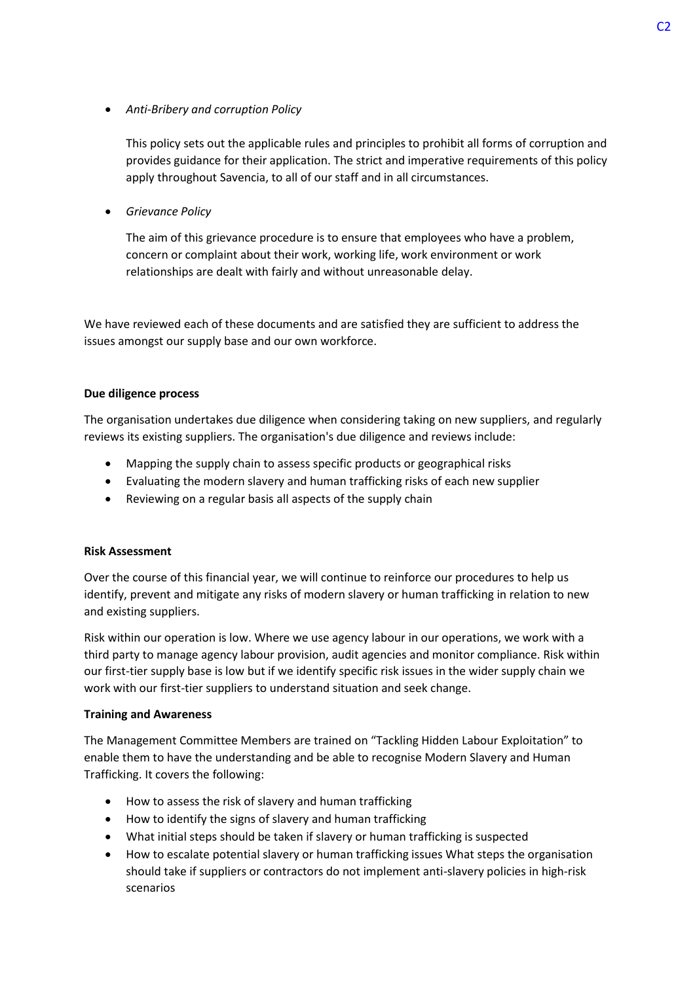# • *Anti-Bribery and corruption Policy*

This policy sets out the applicable rules and principles to prohibit all forms of corruption and provides guidance for their application. The strict and imperative requirements of this policy apply throughout Savencia, to all of our staff and in all circumstances.

• *Grievance Policy* 

The aim of this grievance procedure is to ensure that employees who have a problem, concern or complaint about their work, working life, work environment or work relationships are dealt with fairly and without unreasonable delay.

We have reviewed each of these documents and are satisfied they are sufficient to address the issues amongst our supply base and our own workforce.

## **Due diligence process**

The organisation undertakes due diligence when considering taking on new suppliers, and regularly reviews its existing suppliers. The organisation's due diligence and reviews include:

- Mapping the supply chain to assess specific products or geographical risks
- Evaluating the modern slavery and human trafficking risks of each new supplier
- Reviewing on a regular basis all aspects of the supply chain

# **Risk Assessment**

Over the course of this financial year, we will continue to reinforce our procedures to help us identify, prevent and mitigate any risks of modern slavery or human trafficking in relation to new and existing suppliers.

Risk within our operation is low. Where we use agency labour in our operations, we work with a third party to manage agency labour provision, audit agencies and monitor compliance. Risk within our first-tier supply base is low but if we identify specific risk issues in the wider supply chain we work with our first-tier suppliers to understand situation and seek change.

# **Training and Awareness**

The Management Committee Members are trained on "Tackling Hidden Labour Exploitation" to enable them to have the understanding and be able to recognise Modern Slavery and Human Trafficking. It covers the following:

- How to assess the risk of slavery and human trafficking
- How to identify the signs of slavery and human trafficking
- What initial steps should be taken if slavery or human trafficking is suspected
- How to escalate potential slavery or human trafficking issues What steps the organisation should take if suppliers or contractors do not implement anti-slavery policies in high-risk scenarios